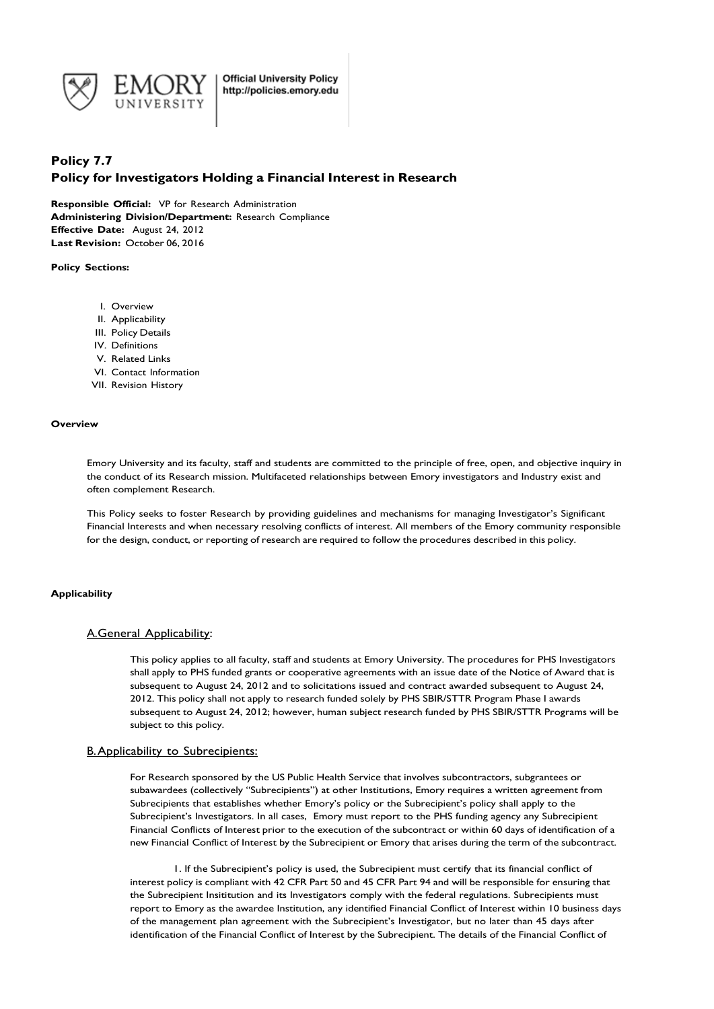

# **Policy 7.7 Policy for Investigators Holding a Financial Interest in Research**

**Responsible Official:** VP for Research Administration **Administering Division/Department:** Research Compliance **Effective Date:** August 24, 2012 **Last Revision:** October 06, 2016

**Policy Sections:**

- I. Overview
- II. Applicability
- III. Policy Details
- IV. Definitions
- V. Related Links
- VI. Contact Information
- VII. Revision History

#### **Overview**

Emory University and its faculty, staff and students are committed to the principle of free, open, and objective inquiry in the conduct of its Research mission. Multifaceted relationships between Emory investigators and Industry exist and often complement Research.

This Policy seeks to foster Research by providing guidelines and mechanisms for managing Investigator's Significant Financial Interests and when necessary resolving conflicts of interest. All members of the Emory community responsible for the design, conduct, or reporting of research are required to follow the procedures described in this policy.

#### **Applicability**

#### A.General Applicability:

This policy applies to all faculty, staff and students at Emory University. The procedures for PHS Investigators shall apply to PHS funded grants or cooperative agreements with an issue date of the Notice of Award that is subsequent to August 24, 2012 and to solicitations issued and contract awarded subsequent to August 24, 2012. This policy shall not apply to research funded solely by PHS SBIR/STTR Program Phase I awards subsequent to August 24, 2012; however, human subject research funded by PHS SBIR/STTR Programs will be subject to this policy.

## B.Applicability to Subrecipients:

For Research sponsored by the US Public Health Service that involves subcontractors, subgrantees or subawardees (collectively "Subrecipients") at other Institutions, Emory requires a written agreement from Subrecipients that establishes whether Emory's policy or the Subrecipient's policy shall apply to the Subrecipient's Investigators. In all cases, Emory must report to the PHS funding agency any Subrecipient Financial Conflicts of Interest prior to the execution of the subcontract or within 60 days of identification of a new Financial Conflict of Interest by the Subrecipient or Emory that arises during the term of the subcontract.

1. If the Subrecipient's policy is used, the Subrecipient must certify that its financial conflict of interest policy is compliant with 42 CFR Part 50 and 45 CFR Part 94 and will be responsible for ensuring that the Subrecipient Insititution and its Investigators comply with the federal regulations. Subrecipients must report to Emory as the awardee Institution, any identified Financial Conflict of Interest within 10 business days of the management plan agreement with the Subrecipient's Investigator, but no later than 45 days after identification of the Financial Conflict of Interest by the Subrecipient. The details of the Financial Conflict of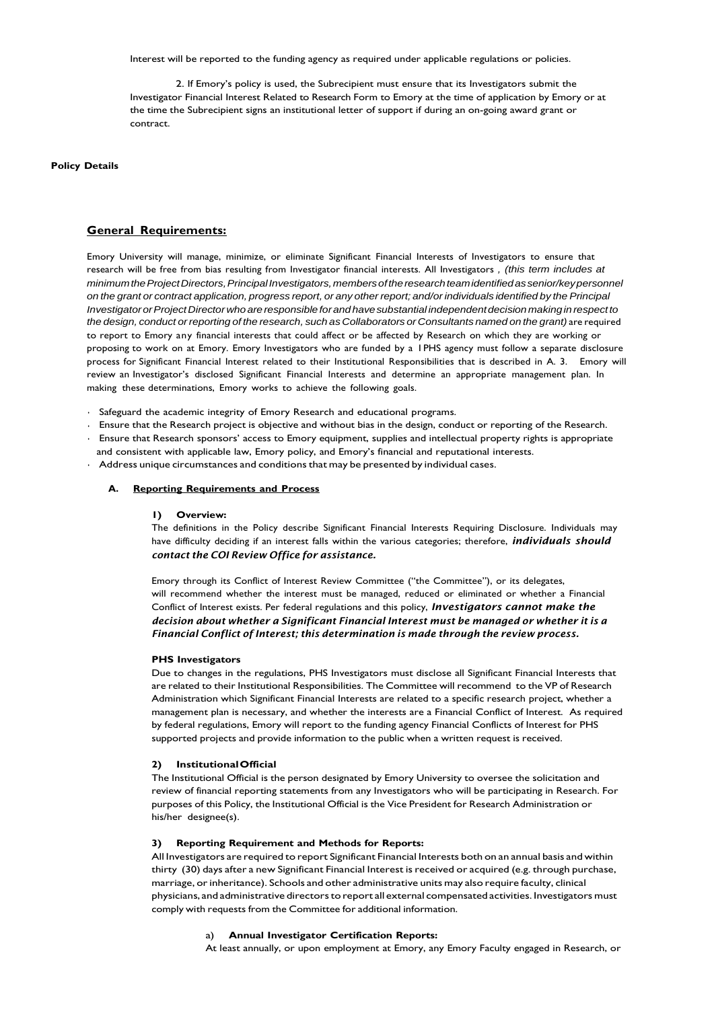Interest will be reported to the funding agency as required under applicable regulations or policies.

2. If Emory's policy is used, the Subrecipient must ensure that its Investigators submit the Investigator Financial Interest Related to Research Form to Emory at the time of application by Emory or at the time the Subrecipient signs an institutional letter of support if during an on-going award grant or contract.

**Policy Details**

## **General Requirements:**

Emory University will manage, minimize, or eliminate Significant Financial Interests of Investigators to ensure that research will be free from bias resulting from Investigator financial interests. All Investigators *, (this term includes at minimumtheProjectDirectors,PrincipalInvestigators,membersoftheresearchteamidentifiedassenior/keypersonnel* on the grant or contract application, progress report, or any other report; and/or individuals identified by the Principal *InvestigatororProjectDirectorwhoareresponsibleforandhavesubstantial independentdecision makinginrespect to* the design, conduct or reporting of the research, such as Collaborators or Consultants named on the grant) are required to report to Emory any financial interests that could affect or be affected by Research on which they are working or proposing to work on at Emory. Emory Investigators who are funded by a 1PHS agency must follow a separate disclosure process for Significant Financial Interest related to their Institutional Responsibilities that is described in A. 3. Emory will review an Investigator's disclosed Significant Financial Interests and determine an appropriate management plan. In making these determinations, Emory works to achieve the following goals.

- Safeguard the academic integrity of Emory Research and educational programs.
- Ensure that the Research project is objective and without bias in the design, conduct or reporting of the Research.
- Ensure that Research sponsors' access to Emory equipment, supplies and intellectual property rights is appropriate and consistent with applicable law, Emory policy, and Emory's financial and reputational interests.
- Address unique circumstances and conditions that may be presented by individual cases.

## **A. Reporting Requirements and Process**

#### **1) Overview:**

The definitions in the Policy describe Significant Financial Interests Requiring Disclosure. Individuals may have difficulty deciding if an interest falls within the various categories; therefore, *individuals should contact the COI Review Office for assistance.*

Emory through its Conflict of Interest Review Committee ("the Committee"), or its delegates, will recommend whether the interest must be managed, reduced or eliminated or whether a Financial Conflict of Interest exists. Per federal regulations and this policy, *Investigators cannot make the decision about whether a Significant Financial Interest must be managed or whether it is a Financial Conflict of Interest; this determination is made through the review process.*

#### **PHS Investigators**

Due to changes in the regulations, PHS Investigators must disclose all Significant Financial Interests that are related to their Institutional Responsibilities. The Committee will recommend to the VP of Research Administration which Significant Financial Interests are related to a specific research project, whether a management plan is necessary, and whether the interests are a Financial Conflict of Interest. As required by federal regulations, Emory will report to the funding agency Financial Conflicts of Interest for PHS supported projects and provide information to the public when a written request is received.

## **2) InstitutionalOfficial**

The Institutional Official is the person designated by Emory University to oversee the solicitation and review of financial reporting statements from any Investigators who will be participating in Research. For purposes of this Policy, the Institutional Official is the Vice President for Research Administration or his/her designee(s).

#### **3) Reporting Requirement and Methods for Reports:**

All Investigators are required to report Significant Financial Interests both on an annual basis and within thirty (30) days after a new Significant Financial Interest is received or acquired (e.g. through purchase, marriage, or inheritance). Schools and other administrative units may also require faculty, clinical physicians, and administrative directors to report all external compensated activities. Investigators must comply with requests from the Committee for additional information.

#### a) **Annual Investigator Certification Reports:**

At least annually, or upon employment at Emory, any Emory Faculty engaged in Research, or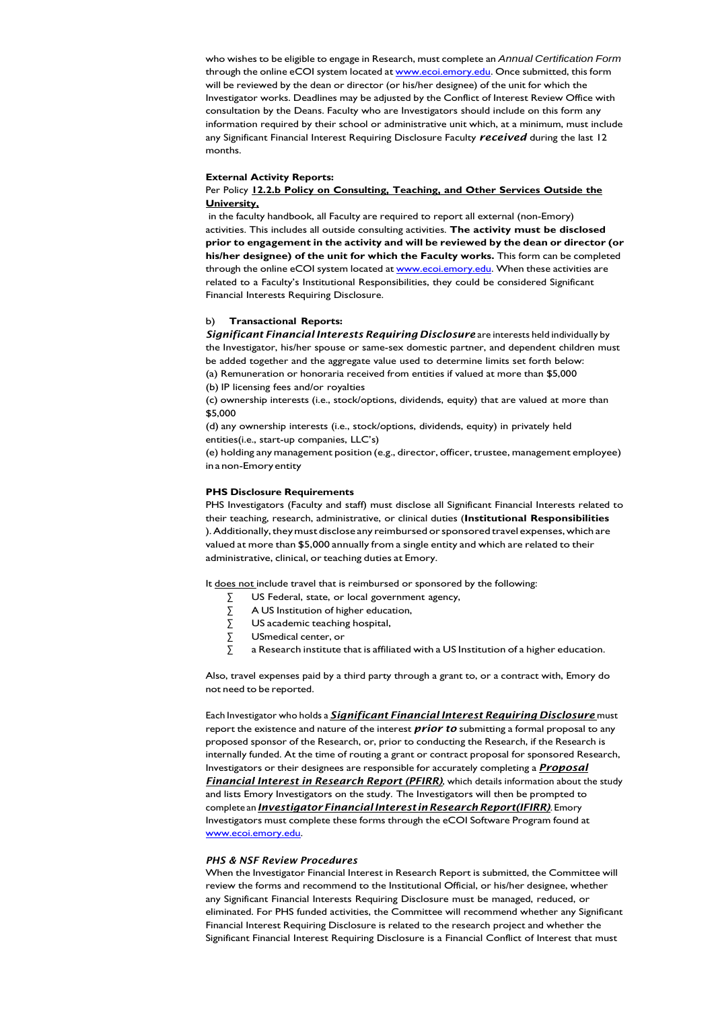who wishes to be eligible to engage in Research, must complete an *Annual Certification Form* through the online eCOI system located at **www.ecoi.emory.edu</u>.** Once submitted, this form will be reviewed by the dean or director (or his/her designee) of the unit for which the Investigator works. Deadlines may be adjusted by the Conflict of Interest Review Office with consultation by the Deans. Faculty who are Investigators should include on this form any information required by their school or administrative unit which, at a minimum, must include any Significant Financial Interest Requiring Disclosure Faculty *received* during the last 12 months.

#### **External Activity Reports:**

## Per Policy **12.2.b Policy on Consulting, Teaching, and Other Services Outside the University,**

in the faculty handbook, all Faculty are required to report all external (non-Emory) activities. This includes all outside consulting activities. **The activity must be disclosed prior to engagement in the activity and will be reviewed by the dean or director (or his/her designee) of the unit for which the Faculty works.** This form can be completed through the online eCOI system located at [www.ecoi.emory.edu.](http://www.ecoi.emory.edu/) When these activities are related to a Faculty's Institutional Responsibilities, they could be considered Significant Financial Interests Requiring Disclosure.

#### b) **Transactional Reports:**

*Significant Financial Interests Requiring Disclosure* are interests held individually by the Investigator, his/her spouse or same-sex domestic partner, and dependent children must be added together and the aggregate value used to determine limits set forth below: (a) Remuneration or honoraria received from entities if valued at more than \$5,000 (b) IP licensing fees and/or royalties

(c) ownership interests (i.e., stock/options, dividends, equity) that are valued at more than \$5,000

(d) any ownership interests (i.e., stock/options, dividends, equity) in privately held entities(i.e., start-up companies, LLC's)

(e) holding any management position (e.g., director, officer, trustee, management employee) ina non-Emoryentity

#### **PHS Disclosure Requirements**

PHS Investigators (Faculty and staff) must disclose all Significant Financial Interests related to their teaching, research, administrative, or clinical duties (**Institutional Responsibilities** ). Additionally, they must disclose any reimbursed or sponsored travel expenses, which are valued at more than \$5,000 annually from a single entity and which are related to their administrative, clinical, or teaching duties at Emory.

It does not include travel that is reimbursed or sponsored by the following:

- ∑ US Federal, state, or local government agency,
- ∑ A US Institution of higher education,
- $\Sigma$  US academic teaching hospital,<br> $\Sigma$  USmedical center, or
- ∑ USmedical center, or
- ∑ a Research institute that is affiliated with a US Institution of a higher education.

Also, travel expenses paid by a third party through a grant to, or a contract with, Emory do not need to be reported.

Each Investigator who holds a *Significant Financial Interest Requiring Disclosure* must report the existence and nature of the interest *prior to* submitting a formal proposal to any proposed sponsor of the Research, or, prior to conducting the Research, if the Research is internally funded. At the time of routing a grant or contract proposal for sponsored Research, Investigators or their designees are responsible for accurately completing a *Proposal Financial Interest in Research Report (PFIRR)*, which details information about the study and lists Emory Investigators on the study*.* The Investigators will then be prompted to complete an *Investigator Financial Interest in Research Report(IFIRR)*. Emory Investigators must complete these forms through the eCOI Software Program found at [www.ecoi.emory.edu.](http://www.ecoi.emory.edu/)

#### *PHS & NSF Review Procedures*

When the Investigator Financial Interest in Research Report is submitted, the Committee will review the forms and recommend to the Institutional Official, or his/her designee, whether any Significant Financial Interests Requiring Disclosure must be managed, reduced, or eliminated. For PHS funded activities, the Committee will recommend whether any Significant Financial Interest Requiring Disclosure is related to the research project and whether the Significant Financial Interest Requiring Disclosure is a Financial Conflict of Interest that must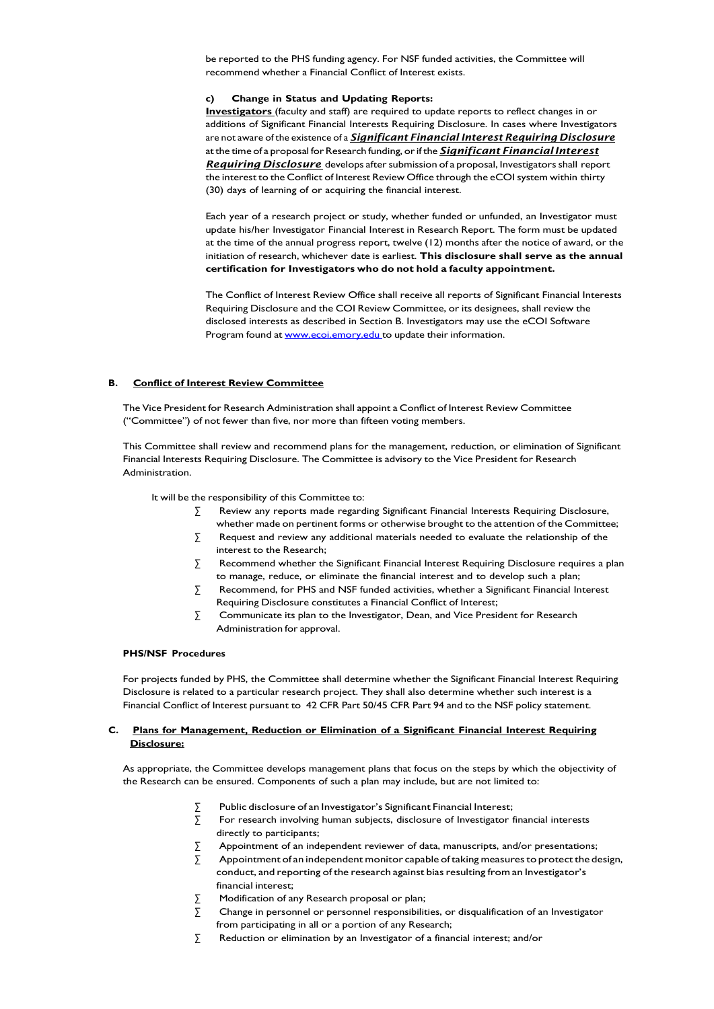be reported to the PHS funding agency. For NSF funded activities, the Committee will recommend whether a Financial Conflict of Interest exists.

## **c) Change in Status and Updating Reports:**

**Investigators** (faculty and staff) are required to update reports to reflect changes in or additions of Significant Financial Interests Requiring Disclosure. In cases where Investigators are not aware of the existence of a *Significant Financial Interest Requiring Disclosure* at the time of a proposal for Research funding, or if the **Significant Financial Interest Requiring Disclosure** develops after submission of a proposal, Investigators shall report the interest to the Conflict of Interest Review Office through the eCOI system within thirty (30) days of learning of or acquiring the financial interest.

Each year of a research project or study, whether funded or unfunded, an Investigator must update his/her Investigator Financial Interest in Research Report. The form must be updated at the time of the annual progress report, twelve (12) months after the notice of award, or the initiation of research, whichever date is earliest. **This disclosure shall serve as the annual certification for Investigators who do not hold a faculty appointment.**

The Conflict of Interest Review Office shall receive all reports of Significant Financial Interests Requiring Disclosure and the COI Review Committee, or its designees, shall review the disclosed interests as described in Section B. Investigators may use the eCOI Software Program found at **[www.ecoi.emory.edu](http://www.ecoi.emory.edu/)** to update their information.

#### **B. Conflict of Interest Review Committee**

The Vice President for Research Administration shall appoint a Conflict of Interest Review Committee ("Committee") of not fewer than five, nor more than fifteen voting members.

This Committee shall review and recommend plans for the management, reduction, or elimination of Significant Financial Interests Requiring Disclosure. The Committee is advisory to the Vice President for Research Administration.

It will be the responsibility of this Committee to:

- ∑ Review any reports made regarding Significant Financial Interests Requiring Disclosure, whether made on pertinent forms or otherwise brought to the attention of the Committee;
- $\Sigma$  Request and review any additional materials needed to evaluate the relationship of the interest to the Research;
- $\Sigma$  Recommend whether the Significant Financial Interest Requiring Disclosure requires a plan to manage, reduce, or eliminate the financial interest and to develop such a plan;
- ∑ Recommend, for PHS and NSF funded activities, whether a Significant Financial Interest Requiring Disclosure constitutes a Financial Conflict of Interest;
- ∑ Communicate its plan to the Investigator, Dean, and Vice President for Research Administration for approval.

## **PHS/NSF Procedures**

For projects funded by PHS, the Committee shall determine whether the Significant Financial Interest Requiring Disclosure is related to a particular research project. They shall also determine whether such interest is a Financial Conflict of Interest pursuant to 42 CFR Part 50/45 CFR Part 94 and to the NSF policy statement.

## **C. Plans for Management, Reduction or Elimination of a Significant Financial Interest Requiring Disclosure:**

As appropriate, the Committee develops management plans that focus on the steps by which the objectivity of the Research can be ensured. Components of such a plan may include, but are not limited to:

- ∑ Public disclosure of an Investigator's Significant Financial Interest;
- ∑ For research involving human subjects, disclosure of Investigator financial interests directly to participants;
- $\sum$  Appointment of an independent reviewer of data, manuscripts, and/or presentations;
- $\sum$  Appointment of an independent monitor capable of taking measures to protect the design, conduct, and reporting of the research against bias resulting from an Investigator's financial interest;
- ∑ Modification of any Research proposal or plan;
- $\Sigma$  Change in personnel or personnel responsibilities, or disqualification of an Investigator from participating in all or a portion of any Research;
- ∑ Reduction or elimination by an Investigator of a financial interest; and/or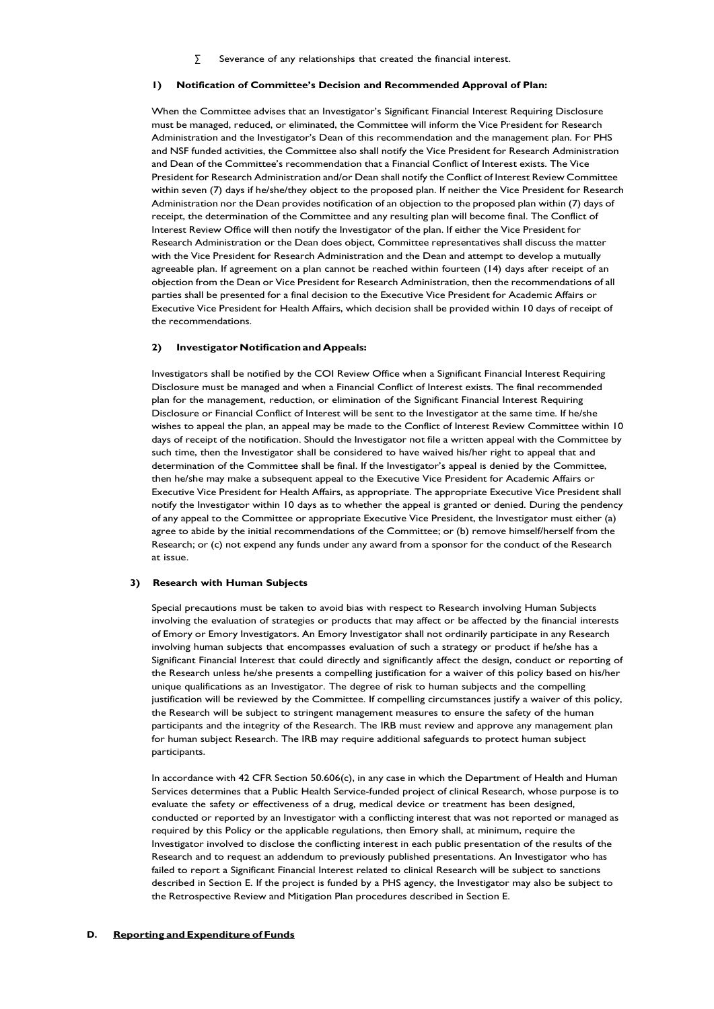∑ Severance of any relationships that created the financial interest.

#### **1) Notification of Committee's Decision and Recommended Approval of Plan:**

When the Committee advises that an Investigator's Significant Financial Interest Requiring Disclosure must be managed, reduced, or eliminated, the Committee will inform the Vice President for Research Administration and the Investigator's Dean of this recommendation and the management plan. For PHS and NSF funded activities, the Committee also shall notify the Vice President for Research Administration and Dean of the Committee's recommendation that a Financial Conflict of Interest exists. The Vice President for Research Administration and/or Dean shall notify the Conflict of Interest Review Committee within seven (7) days if he/she/they object to the proposed plan. If neither the Vice President for Research Administration nor the Dean provides notification of an objection to the proposed plan within (7) days of receipt, the determination of the Committee and any resulting plan will become final. The Conflict of Interest Review Office will then notify the Investigator of the plan. If either the Vice President for Research Administration or the Dean does object, Committee representatives shall discuss the matter with the Vice President for Research Administration and the Dean and attempt to develop a mutually agreeable plan. If agreement on a plan cannot be reached within fourteen (14) days after receipt of an objection from the Dean or Vice President for Research Administration, then the recommendations of all parties shall be presented for a final decision to the Executive Vice President for Academic Affairs or Executive Vice President for Health Affairs, which decision shall be provided within 10 days of receipt of the recommendations.

#### **2) Investigator Notification and Appeals:**

Investigators shall be notified by the COI Review Office when a Significant Financial Interest Requiring Disclosure must be managed and when a Financial Conflict of Interest exists. The final recommended plan for the management, reduction, or elimination of the Significant Financial Interest Requiring Disclosure or Financial Conflict of Interest will be sent to the Investigator at the same time. If he/she wishes to appeal the plan, an appeal may be made to the Conflict of Interest Review Committee within 10 days of receipt of the notification. Should the Investigator not file a written appeal with the Committee by such time, then the Investigator shall be considered to have waived his/her right to appeal that and determination of the Committee shall be final. If the Investigator's appeal is denied by the Committee, then he/she may make a subsequent appeal to the Executive Vice President for Academic Affairs or Executive Vice President for Health Affairs, as appropriate. The appropriate Executive Vice President shall notify the Investigator within 10 days as to whether the appeal is granted or denied. During the pendency of any appeal to the Committee or appropriate Executive Vice President, the Investigator must either (a) agree to abide by the initial recommendations of the Committee; or (b) remove himself/herself from the Research; or (c) not expend any funds under any award from a sponsor for the conduct of the Research at issue.

## **3) Research with Human Subjects**

Special precautions must be taken to avoid bias with respect to Research involving Human Subjects involving the evaluation of strategies or products that may affect or be affected by the financial interests of Emory or Emory Investigators. An Emory Investigator shall not ordinarily participate in any Research involving human subjects that encompasses evaluation of such a strategy or product if he/she has a Significant Financial Interest that could directly and significantly affect the design, conduct or reporting of the Research unless he/she presents a compelling justification for a waiver of this policy based on his/her unique qualifications as an Investigator. The degree of risk to human subjects and the compelling justification will be reviewed by the Committee. If compelling circumstances justify a waiver of this policy, the Research will be subject to stringent management measures to ensure the safety of the human participants and the integrity of the Research. The IRB must review and approve any management plan for human subject Research. The IRB may require additional safeguards to protect human subject participants.

In accordance with 42 CFR Section 50.606(c), in any case in which the Department of Health and Human Services determines that a Public Health Service-funded project of clinical Research, whose purpose is to evaluate the safety or effectiveness of a drug, medical device or treatment has been designed, conducted or reported by an Investigator with a conflicting interest that was not reported or managed as required by this Policy or the applicable regulations, then Emory shall, at minimum, require the Investigator involved to disclose the conflicting interest in each public presentation of the results of the Research and to request an addendum to previously published presentations. An Investigator who has failed to report a Significant Financial Interest related to clinical Research will be subject to sanctions described in Section E. If the project is funded by a PHS agency, the Investigator may also be subject to the Retrospective Review and Mitigation Plan procedures described in Section E.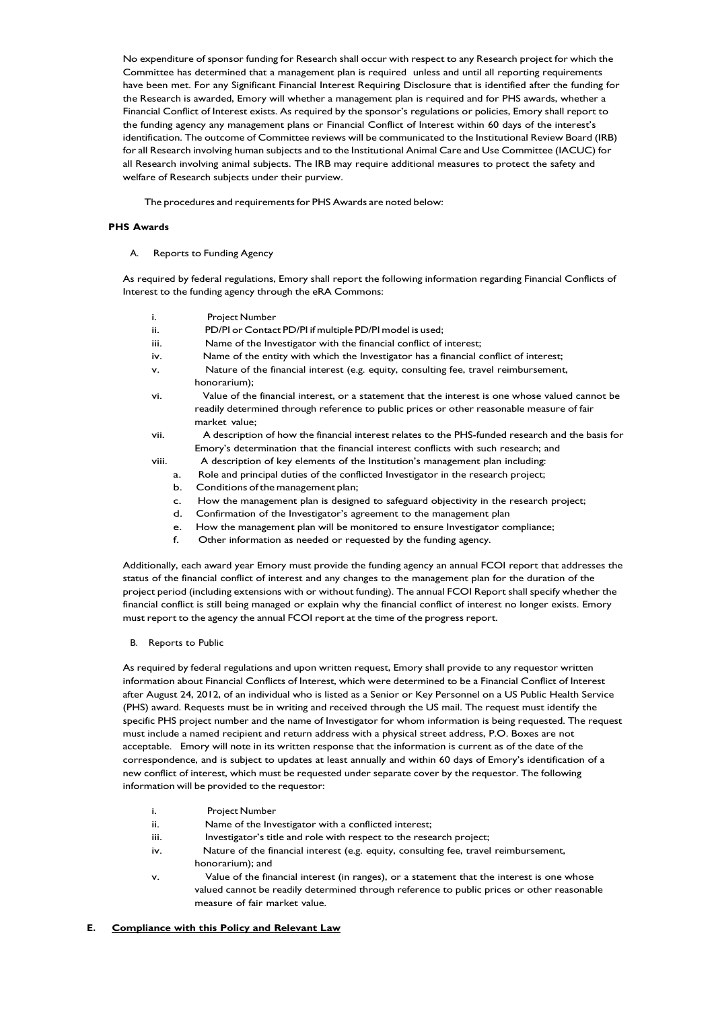No expenditure of sponsor funding for Research shall occur with respect to any Research project for which the Committee has determined that a management plan is required unless and until all reporting requirements have been met. For any Significant Financial Interest Requiring Disclosure that is identified after the funding for the Research is awarded, Emory will whether a management plan is required and for PHS awards, whether a Financial Conflict of Interest exists. As required by the sponsor's regulations or policies, Emory shall report to the funding agency any management plans or Financial Conflict of Interest within 60 days of the interest's identification. The outcome of Committee reviews will be communicated to the Institutional Review Board (IRB) for all Research involving human subjects and to the Institutional Animal Care and Use Committee (IACUC) for all Research involving animal subjects. The IRB may require additional measures to protect the safety and welfare of Research subjects under their purview.

The procedures and requirements for PHS Awards are noted below:

## **PHS Awards**

A. Reports to Funding Agency

As required by federal regulations, Emory shall report the following information regarding Financial Conflicts of Interest to the funding agency through the eRA Commons:

- i. Project Number
- ii. PD/PI or Contact PD/PI if multiple PD/PI model is used;
- iii. Name of the Investigator with the financial conflict of interest;
- iv. Name of the entity with which the Investigator has a financial conflict of interest;
- v. Nature of the financial interest (e.g. equity, consulting fee, travel reimbursement,
- honorarium); vi. Value of the financial interest, or a statement that the interest is one whose valued cannot be readily determined through reference to public prices or other reasonable measure of fair market value;
- vii. A description of how the financial interest relates to the PHS-funded research and the basis for Emory's determination that the financial interest conflicts with such research; and
- viii. A description of key elements of the Institution's management plan including:
	- a. Role and principal duties of the conflicted Investigator in the research project;
	- b. Conditions of the management plan;
	- c. How the management plan is designed to safeguard objectivity in the research project;
	- d. Confirmation of the Investigator's agreement to the management plan
	- e. How the management plan will be monitored to ensure Investigator compliance;
	- f. Other information as needed or requested by the funding agency.

Additionally, each award year Emory must provide the funding agency an annual FCOI report that addresses the status of the financial conflict of interest and any changes to the management plan for the duration of the project period (including extensions with or without funding). The annual FCOI Report shall specify whether the financial conflict is still being managed or explain why the financial conflict of interest no longer exists. Emory must report to the agency the annual FCOI report at the time of the progress report.

B. Reports to Public

As required by federal regulations and upon written request, Emory shall provide to any requestor written information about Financial Conflicts of Interest, which were determined to be a Financial Conflict of Interest after August 24, 2012, of an individual who is listed as a Senior or Key Personnel on a US Public Health Service (PHS) award. Requests must be in writing and received through the US mail. The request must identify the specific PHS project number and the name of Investigator for whom information is being requested. The request must include a named recipient and return address with a physical street address, P.O. Boxes are not acceptable. Emory will note in its written response that the information is current as of the date of the correspondence, and is subject to updates at least annually and within 60 days of Emory's identification of a new conflict of interest, which must be requested under separate cover by the requestor. The following information will be provided to the requestor:

- i. Project Number
- ii. Name of the Investigator with a conflicted interest;
- iii. Investigator's title and role with respect to the research project;
- iv. Nature of the financial interest (e.g. equity, consulting fee, travel reimbursement, honorarium); and
- v. Value of the financial interest (in ranges), or a statement that the interest is one whose valued cannot be readily determined through reference to public prices or other reasonable measure of fair market value.

#### **E. Compliance with this Policy and Relevant Law**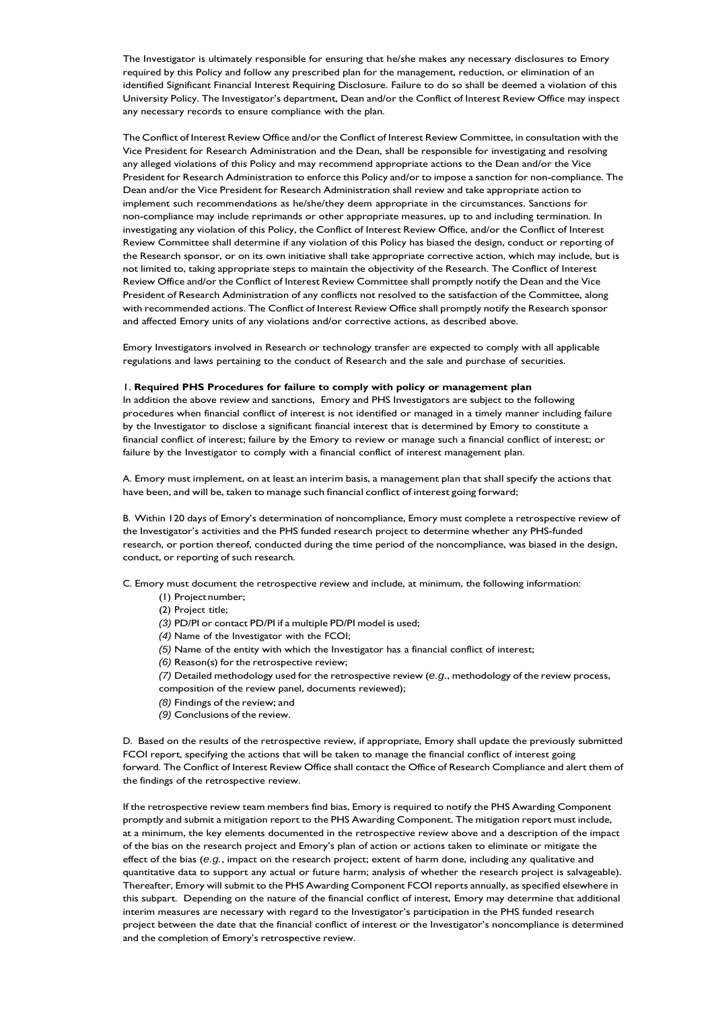The Investigator is ultimately responsible for ensuring that he/she makes any necessary disclosures to Emory required by this Policy and follow any prescribed plan for the management, reduction, or elimination of an identified Significant Financial Interest Requiring Disclosure. Failure to do so shall be deemed a violation of this University Policy. The Investigator's department, Dean and/or the Conflict of Interest Review Office may inspect any necessary records to ensure compliance with the plan.

The Conflict of Interest Review Office and/or the Conflict of Interest Review Committee, in consultation with the Vice President for Research Administration and the Dean, shall be responsible for investigating and resolving any alleged violations of this Policy and may recommend appropriate actions to the Dean and/or the Vice President for Research Administration to enforce this Policy and/or to impose a sanction for non-compliance. The Dean and/or the Vice President for Research Administration shall review and take appropriate action to implement such recommendations as he/she/they deem appropriate in the circumstances. Sanctions for non-compliance may include reprimands or other appropriate measures, up to and including termination. In investigating any violation of this Policy, the Conflict of Interest Review Office, and/or the Conflict of Interest Review Committee shall determine if any violation of this Policy has biased the design, conduct or reporting of the Research sponsor, or on its own initiative shall take appropriate corrective action, which may include, but is not limited to, taking appropriate steps to maintain the objectivity of the Research. The Conflict of Interest Review Office and/or the Conflict of Interest Review Committee shall promptly notify the Dean and the Vice President of Research Administration of any conflicts not resolved to the satisfaction of the Committee, along with recommended actions. The Conflict of Interest Review Office shall promptly notify the Research sponsor and affected Emory units of any violations and/or corrective actions, as described above.

Emory Investigators involved in Research or technology transfer are expected to comply with all applicable regulations and laws pertaining to the conduct of Research and the sale and purchase of securities.

#### 1. **Required PHS Procedures for failure to comply with policy or management plan**

In addition the above review and sanctions, Emory and PHS Investigators are subject to the following procedures when financial conflict of interest is not identified or managed in a timely manner including failure by the Investigator to disclose a significant financial interest that is determined by Emory to constitute a financial conflict of interest; failure by the Emory to review or manage such a financial conflict of interest; or failure by the Investigator to comply with a financial conflict of interest management plan.

A. Emory must implement, on at least an interim basis, a management plan that shall specify the actions that have been, and will be, taken to manage such financial conflict of interest going forward;

B. Within 120 days of Emory's determination of noncompliance, Emory must complete a retrospective review of the Investigator's activities and the PHS funded research project to determine whether any PHS-funded research, or portion thereof, conducted during the time period of the noncompliance, was biased in the design, conduct, or reporting of such research.

C. Emory must document the retrospective review and include, at minimum, the following information:

- (1) Projectnumber;
- (2) Project title;
- *(3)* PD/PI or contact PD/PI if a multiple PD/PI model is used;
- *(4)* Name of the Investigator with the FCOI;
- *(5)* Name of the entity with which the Investigator has a financial conflict of interest;
- *(6)* Reason(s) for the retrospective review;
- *(7)* Detailed methodology used for the retrospective review (*e.g.*, methodology of the review process,
- composition of the review panel, documents reviewed);
- *(8)* Findings of the review; and
- *(9)* Conclusions of the review.

D. Based on the results of the retrospective review, if appropriate, Emory shall update the previously submitted FCOI report, specifying the actions that will be taken to manage the financial conflict of interest going forward. The Conflict of Interest Review Office shall contact the Office of Research Compliance and alert them of the findings of the retrospective review.

If the retrospective review team members find bias, Emory is required to notify the PHS Awarding Component promptly and submit a mitigation report to the PHS Awarding Component. The mitigation report must include, at a minimum, the key elements documented in the retrospective review above and a description of the impact of the bias on the research project and Emory's plan of action or actions taken to eliminate or mitigate the effect of the bias (*e.g.*, impact on the research project; extent of harm done, including any qualitative and quantitative data to support any actual or future harm; analysis of whether the research project is salvageable). Thereafter, Emory will submit to the PHS Awarding Component FCOI reports annually, as specified elsewhere in this subpart. Depending on the nature of the financial conflict of interest, Emory may determine that additional interim measures are necessary with regard to the Investigator's participation in the PHS funded research project between the date that the financial conflict of interest or the Investigator's noncompliance is determined and the completion of Emory's retrospective review.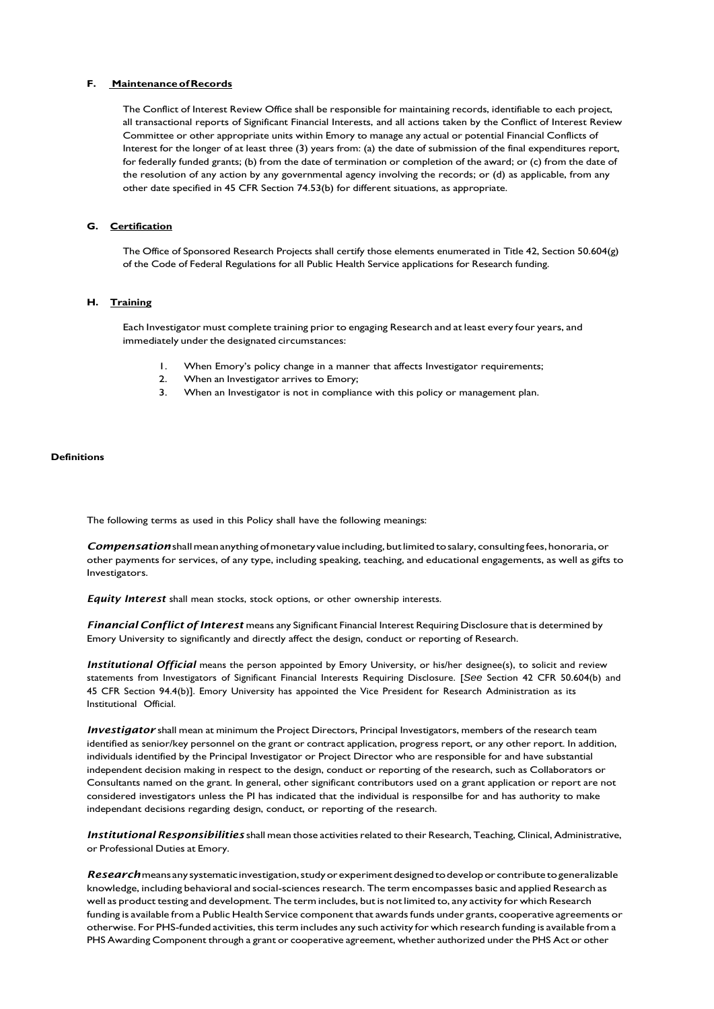## **F. MaintenanceofRecords**

The Conflict of Interest Review Office shall be responsible for maintaining records, identifiable to each project, all transactional reports of Significant Financial Interests, and all actions taken by the Conflict of Interest Review Committee or other appropriate units within Emory to manage any actual or potential Financial Conflicts of Interest for the longer of at least three (3) years from: (a) the date of submission of the final expenditures report, for federally funded grants; (b) from the date of termination or completion of the award; or (c) from the date of the resolution of any action by any governmental agency involving the records; or (d) as applicable, from any other date specified in 45 CFR Section 74.53(b) for different situations, as appropriate.

#### **G. Certification**

The Office of Sponsored Research Projects shall certify those elements enumerated in Title 42, Section 50.604(g) of the Code of Federal Regulations for all Public Health Service applications for Research funding.

#### **H. Training**

Each Investigator must complete training prior to engaging Research and at least every four years, and immediately under the designated circumstances:

- 1. When Emory's policy change in a manner that affects Investigator requirements;
- 2. When an Investigator arrives to Emory;<br>3. When an Investigator is not in compliant
- When an Investigator is not in compliance with this policy or management plan.

#### **Definitions**

The following terms as used in this Policy shall have the following meanings:

**Compensation** shall mean anything of monetary value including, but limited to salary, consulting fees, honoraria, or other payments for services, of any type, including speaking, teaching, and educational engagements, as well as gifts to Investigators.

*Equity Interest* shall mean stocks, stock options, or other ownership interests.

*Financial Conflict of Interest* means any Significant Financial Interest Requiring Disclosure that is determined by Emory University to significantly and directly affect the design, conduct or reporting of Research.

*Institutional Official* means the person appointed by Emory University, or his/her designee(s), to solicit and review statements from Investigators of Significant Financial Interests Requiring Disclosure. [*See* Section 42 CFR 50.604(b) and 45 CFR Section 94.4(b)]. Emory University has appointed the Vice President for Research Administration as its Institutional Official.

*Investigator* shall mean at minimum the Project Directors, Principal Investigators, members of the research team identified as senior/key personnel on the grant or contract application, progress report, or any other report. In addition, individuals identified by the Principal Investigator or Project Director who are responsible for and have substantial independent decision making in respect to the design, conduct or reporting of the research, such as Collaborators or Consultants named on the grant. In general, other significant contributors used on a grant application or report are not considered investigators unless the PI has indicated that the individual is responsilbe for and has authority to make independant decisions regarding design, conduct, or reporting of the research.

*Institutional Responsibilities* shall mean those activitiesrelated to their Research, Teaching, Clinical, Administrative, or Professional Duties at Emory.

*Research* means any systematic investigation, study or experiment designed to develop or contribute to generalizable knowledge, including behavioral and social-sciences research. The term encompasses basic and applied Research as well as product testing and development. The term includes, but is not limited to, any activity for which Research funding is available from a Public Health Service component that awards funds under grants, cooperative agreements or otherwise. For PHS-funded activities, thisterm includes any such activity for which research funding is available from a PHS Awarding Component through a grant or cooperative agreement, whether authorized under the PHS Act or other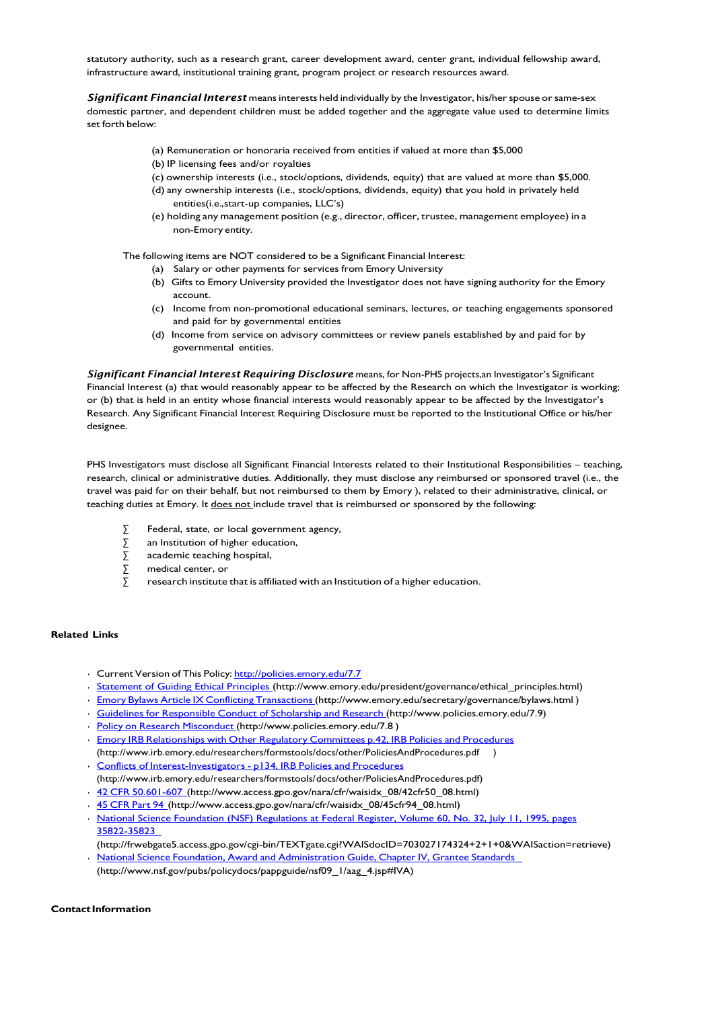statutory authority, such as a research grant, career development award, center grant, individual fellowship award, infrastructure award, institutional training grant, program project or research resources award.

*Significant Financial Interest* meansinterests held individually by the Investigator, his/herspouse orsame-sex domestic partner, and dependent children must be added together and the aggregate value used to determine limits set forth below:

- (a) Remuneration or honoraria received from entities if valued at more than \$5,000
- (b) IP licensing fees and/or royalties
- (c) ownership interests (i.e., stock/options, dividends, equity) that are valued at more than \$5,000.
- (d) any ownership interests (i.e., stock/options, dividends, equity) that you hold in privately held entities(i.e.,start-up companies, LLC's)
- (e) holding any management position (e.g., director, officer, trustee, management employee) in a non-Emory entity.

The following items are NOT considered to be a Significant Financial Interest:

- (a) Salary or other payments for services from Emory University
- (b) Gifts to Emory University provided the Investigator does not have signing authority for the Emory account.
- (c) Income from non-promotional educational seminars, lectures, or teaching engagements sponsored and paid for by governmental entities
- (d) Income from service on advisory committees or review panels established by and paid for by governmental entities.

*Significant Financial Interest Requiring Disclosure* means, for Non-PHS projects,an Investigator's Significant Financial Interest (a) that would reasonably appear to be affected by the Research on which the Investigator is working; or (b) that is held in an entity whose financial interests would reasonably appear to be affected by the Investigator's Research. Any Significant Financial Interest Requiring Disclosure must be reported to the Institutional Office or his/her designee.

PHS Investigators must disclose all Significant Financial Interests related to their Institutional Responsibilities - teaching, research, clinical or administrative duties. Additionally, they must disclose any reimbursed or sponsored travel (i.e., the travel was paid for on their behalf, but not reimbursed to them by Emory ), related to their administrative, clinical, or teaching duties at Emory. It does not include travel that is reimbursed or sponsored by the following:

- Federal, state, or local government agency,
- ∑ an Institution of higher education,
- ∑ academic teaching hospital,
- ∑ medical center, or
- research institute that is affiliated with an Institution of a higher education.

## **Related Links**

- Ourrent Version of This Policy: <http://policies.emory.edu/7.7>
- [Statement](http://www.emory.edu/president/governance/ethical_principles.html) of Guiding Ethical Principles [\(http://www.emory.edu/president/governance/ethical\\_principles.html\)](http://www.emory.edu/president/governance/ethical_principles.html)
- Emory Bylaws Article IX Conflicting Transactions (http://www.emory.edu/secretary/governance/bylaws.html)
- Guidelines for [Responsible](http://www.policies.emory.edu/7.9) Conduct of Scholarship and Research [\(http://www.policies.emory.edu/7.9\)](http://www.policies.emory.edu/7.9)
- Policy on Research [Misconduct](http://www.policies.emory.edu/7.8) [\(http://www.policies.emory.edu/7.8](http://www.policies.emory.edu/7.8))
- **Emory IRB [Relationships](http://www.irb.emory.edu/researchers/formstools/docs/other/PoliciesAndProcedures.pdf) with Other Regulatory Committees p.42, IRB Policies and Procedures** [\(http://www.irb.emory.edu/researchers/formstools/docs/other/PoliciesAndProcedures.pdf](http://www.irb.emory.edu/researchers/formstools/docs/other/PoliciesAndProcedures.pdf) )
- **Conflicts of [Interest-Investigators](http://www.irb.emory.edu/researchers/formstools/docs/other/PoliciesAndProcedures.pdf) p134, IRB Policies and Procedures** [\(http://www.irb.emory.edu/researchers/formstools/docs/other/PoliciesAndProcedures.pdf\)](http://www.irb.emory.edu/researchers/formstools/docs/other/PoliciesAndProcedures.pdf))
- 42 CFR [50.601-607](http://www.access.gpo.gov/nara/cfr/waisidx_08/42cfr50_08.html) [\(http://www.access.gpo.gov/nara/cfr/waisidx\\_08/42cfr50\\_08.html\)](http://www.access.gpo.gov/nara/cfr/waisidx_08/42cfr50_08.html))
- 45 [CFR](http://www.access.gpo.gov/nara/cfr/waisidx_08/45cfr94_08.html) Part 94 [\(http://www.access.gpo.gov/nara/cfr/waisidx\\_08/45cfr94\\_08.html\)](http://www.access.gpo.gov/nara/cfr/waisidx_08/45cfr94_08.html))
- National Science Foundation (NSF) [Regulations](http://frwebgate5.access.gpo.gov/cgi-bin/TEXTgate.cgi?WAISdocID=703027174324%2B2%2B1%2B0&WAISaction=retrieve) at Federal Register, Volume 60, No. 32, July 11, 1995, pages [35822-35823](http://frwebgate5.access.gpo.gov/cgi-bin/TEXTgate.cgi?WAISdocID=703027174324%2B2%2B1%2B0&WAISaction=retrieve)
- [\(http://frwebgate5.access.gpo.gov/cgi-bin/TEXTgate.cgi?WAISdocID=703027174324+2+1+0&WAISaction=retrieve\)](http://frwebgate5.access.gpo.gov/cgi-bin/TEXTgate.cgi?WAISdocID=703027174324%2B2%2B1%2B0&WAISaction=retrieve)) National Science Foundation, Award and [Administration](http://www.nsf.gov/pubs/policydocs/pappguide/nsf09_1/aag_4.jsp#IVA) Guide, Chapter IV, Grantee Standards
- [\(http://www.nsf.gov/pubs/policydocs/pappguide/nsf09\\_1/aag\\_4.jsp#IVA\)](http://www.nsf.gov/pubs/policydocs/pappguide/nsf09_1/aag_4.jsp#IVA))

**Contact Information**